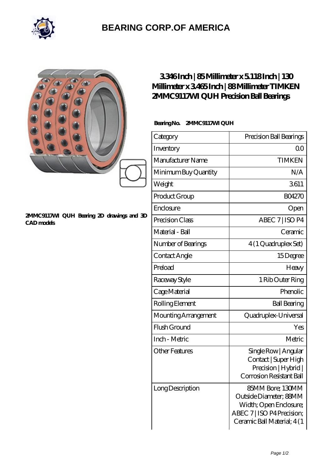

## **[BEARING CORP.OF AMERICA](https://m.bluemondayreview.com)**

|                                                                | 3346Inch   85Millimeter x 5118Inch   130<br>Millimeter x 3465Inch   88Millimeter TIMKEN<br>2MMC9117MI QUH Precision Ball Bearings<br>BearingNo.<br>2MMC9117MI QUH |                                                                                                                                   |
|----------------------------------------------------------------|-------------------------------------------------------------------------------------------------------------------------------------------------------------------|-----------------------------------------------------------------------------------------------------------------------------------|
|                                                                | Category                                                                                                                                                          | Precision Ball Bearings                                                                                                           |
|                                                                | Inventory                                                                                                                                                         | 0 <sup>0</sup>                                                                                                                    |
|                                                                | Manufacturer Name                                                                                                                                                 | <b>TIMKEN</b>                                                                                                                     |
|                                                                | Minimum Buy Quantity                                                                                                                                              | N/A                                                                                                                               |
|                                                                | Weight                                                                                                                                                            | 3611                                                                                                                              |
|                                                                | Product Group                                                                                                                                                     | <b>BO4270</b>                                                                                                                     |
| 2MMC9117MI QUH Bearing 2D drawings and 3D<br><b>CAD</b> models | Enclosure                                                                                                                                                         | Open                                                                                                                              |
|                                                                | Precision Class                                                                                                                                                   | ABEC 7   ISO P4                                                                                                                   |
|                                                                | Material - Ball                                                                                                                                                   | Ceramic                                                                                                                           |
|                                                                | Number of Bearings                                                                                                                                                | 4 (1 Quadruplex Set)                                                                                                              |
|                                                                | Contact Angle                                                                                                                                                     | 15Degree                                                                                                                          |
|                                                                | Preload                                                                                                                                                           | Heavy                                                                                                                             |
|                                                                | Raceway Style                                                                                                                                                     | 1 Rib Outer Ring                                                                                                                  |
|                                                                | Cage Material                                                                                                                                                     | Phenolic                                                                                                                          |
|                                                                | Rolling Element                                                                                                                                                   | <b>Ball Bearing</b>                                                                                                               |
|                                                                | Mounting Arrangement                                                                                                                                              | Quadruplex-Universal                                                                                                              |
|                                                                | Flush Ground                                                                                                                                                      | Yes                                                                                                                               |
|                                                                | Inch - Metric                                                                                                                                                     | Metric                                                                                                                            |
|                                                                | <b>Other Features</b>                                                                                                                                             | Single Row   Angular<br>Contact   Super High<br>Precision   Hybrid  <br>Corrosion Resistant Ball                                  |
|                                                                | Long Description                                                                                                                                                  | 85MM Bore; 130MM<br>Outside Diameter; 88MM<br>Width; Open Enclosure;<br>ABEC 7   ISO P4 Precision;<br>Ceramic Ball Material; 4(1) |